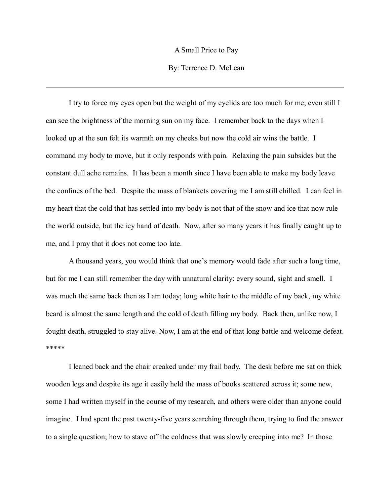## A Small Price to Pay

# By: Terrence D. McLean

I try to force my eyes open but the weight of my eyelids are too much for me; even still I can see the brightness of the morning sun on my face. I remember back to the days when I looked up at the sun felt its warmth on my cheeks but now the cold air wins the battle. I command my body to move, but it only responds with pain. Relaxing the pain subsides but the constant dull ache remains. It has been a month since I have been able to make my body leave the confines of the bed. Despite the mass of blankets covering me I am still chilled. I can feel in my heart that the cold that has settled into my body is not that of the snow and ice that now rule the world outside, but the icy hand of death. Now, after so many years it has finally caught up to me, and I pray that it does not come too late.

A thousand years, you would think that one's memory would fade after such a long time, but for me I can still remember the day with unnatural clarity: every sound, sight and smell. I was much the same back then as I am today; long white hair to the middle of my back, my white beard is almost the same length and the cold of death filling my body. Back then, unlike now, I fought death, struggled to stay alive. Now, I am at the end of that long battle and welcome defeat. \*\*\*\*\*

I leaned back and the chair creaked under my frail body. The desk before me sat on thick wooden legs and despite its age it easily held the mass of books scattered across it; some new, some I had written myself in the course of my research, and others were older than anyone could imagine. I had spent the past twenty-five years searching through them, trying to find the answer to a single question; how to stave off the coldness that was slowly creeping into me? In those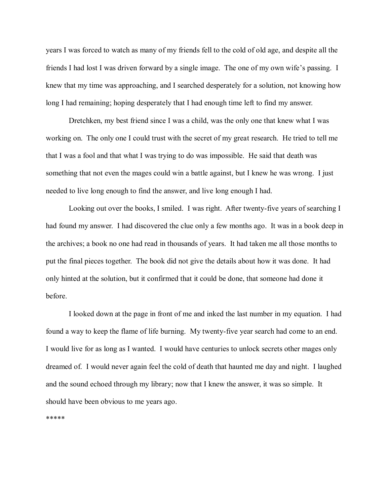years I was forced to watch as many of my friends fell to the cold of old age, and despite all the friends I had lost I was driven forward by a single image. The one of my own wife's passing. I knew that my time was approaching, and I searched desperately for a solution, not knowing how long I had remaining; hoping desperately that I had enough time left to find my answer.

Dretchken, my best friend since I was a child, was the only one that knew what I was working on. The only one I could trust with the secret of my great research. He tried to tell me that I was a fool and that what I was trying to do was impossible. He said that death was something that not even the mages could win a battle against, but I knew he was wrong. I just needed to live long enough to find the answer, and live long enough I had.

Looking out over the books, I smiled. I was right. After twenty-five years of searching I had found my answer. I had discovered the clue only a few months ago. It was in a book deep in the archives; a book no one had read in thousands of years. It had taken me all those months to put the final pieces together. The book did not give the details about how it was done. It had only hinted at the solution, but it confirmed that it could be done, that someone had done it before.

I looked down at the page in front of me and inked the last number in my equation. I had found a way to keep the flame of life burning. My twenty-five year search had come to an end. I would live for as long as I wanted. I would have centuries to unlock secrets other mages only dreamed of. I would never again feel the cold of death that haunted me day and night. I laughed and the sound echoed through my library; now that I knew the answer, it was so simple. It should have been obvious to me years ago.

\*\*\*\*\*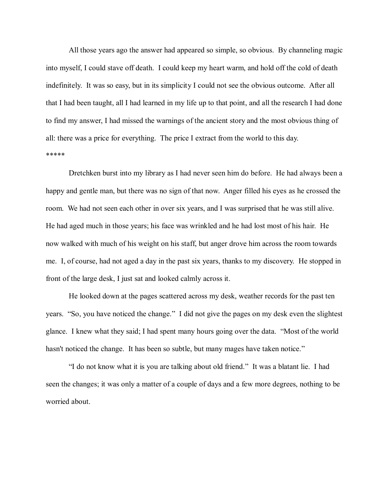All those years ago the answer had appeared so simple, so obvious. By channeling magic into myself, I could stave off death. I could keep my heart warm, and hold off the cold of death indefinitely. It was so easy, but in its simplicity I could not see the obvious outcome. After all that I had been taught, all I had learned in my life up to that point, and all the research I had done to find my answer, I had missed the warnings of the ancient story and the most obvious thing of all: there was a price for everything. The price I extract from the world to this day. \*\*\*\*\*

Dretchken burst into my library as I had never seen him do before. He had always been a happy and gentle man, but there was no sign of that now. Anger filled his eyes as he crossed the room. We had not seen each other in over six years, and I was surprised that he was still alive. He had aged much in those years; his face was wrinkled and he had lost most of his hair. He now walked with much of his weight on his staff, but anger drove him across the room towards me. I, of course, had not aged a day in the past six years, thanks to my discovery. He stopped in front of the large desk, I just sat and looked calmly across it.

He looked down at the pages scattered across my desk, weather records for the past ten years. "So, you have noticed the change." I did not give the pages on my desk even the slightest glance. I knew what they said; I had spent many hours going over the data. "Most of the world hasn't noticed the change. It has been so subtle, but many mages have taken notice."

"I do not know what it is you are talking about old friend." It was a blatant lie. I had seen the changes; it was only a matter of a couple of days and a few more degrees, nothing to be worried about.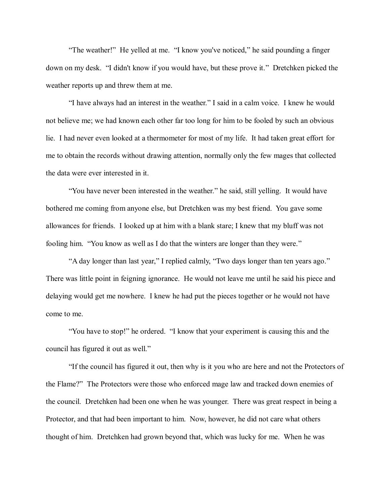"The weather!" He yelled at me. "I know you've noticed," he said pounding a finger down on my desk. "I didn't know if you would have, but these prove it." Dretchken picked the weather reports up and threw them at me.

"I have always had an interest in the weather." I said in a calm voice. I knew he would not believe me; we had known each other far too long for him to be fooled by such an obvious lie. I had never even looked at a thermometer for most of my life. It had taken great effort for me to obtain the records without drawing attention, normally only the few mages that collected the data were ever interested in it.

"You have never been interested in the weather." he said, still yelling. It would have bothered me coming from anyone else, but Dretchken was my best friend. You gave some allowances for friends. I looked up at him with a blank stare; I knew that my bluff was not fooling him. "You know as well as I do that the winters are longer than they were."

"A day longer than last year," I replied calmly, "Two days longer than ten years ago." There was little point in feigning ignorance. He would not leave me until he said his piece and delaying would get me nowhere. I knew he had put the pieces together or he would not have come to me.

"You have to stop!" he ordered. "I know that your experiment is causing this and the council has figured it out as well."

"If the council has figured it out, then why is it you who are here and not the Protectors of the Flame?" The Protectors were those who enforced mage law and tracked down enemies of the council. Dretchken had been one when he was younger. There was great respect in being a Protector, and that had been important to him. Now, however, he did not care what others thought of him. Dretchken had grown beyond that, which was lucky for me. When he was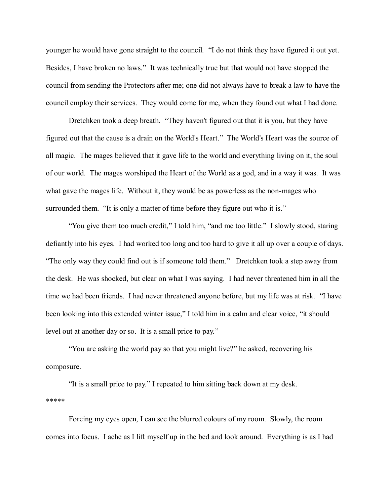younger he would have gone straight to the council. "I do not think they have figured it out yet. Besides, I have broken no laws." It was technically true but that would not have stopped the council from sending the Protectors after me; one did not always have to break a law to have the council employ their services. They would come for me, when they found out what I had done.

Dretchken took a deep breath. "They haven't figured out that it is you, but they have figured out that the cause is a drain on the World's Heart." The World's Heart was the source of all magic. The mages believed that it gave life to the world and everything living on it, the soul of our world. The mages worshiped the Heart of the World as a god, and in a way it was. It was what gave the mages life. Without it, they would be as powerless as the non-mages who surrounded them. "It is only a matter of time before they figure out who it is."

"You give them too much credit," I told him, "and me too little." I slowly stood, staring defiantly into his eyes. I had worked too long and too hard to give it all up over a couple of days. "The only way they could find out is if someone told them." Dretchken took a step away from the desk. He was shocked, but clear on what I was saying. I had never threatened him in all the time we had been friends. I had never threatened anyone before, but my life was at risk. "I have been looking into this extended winter issue," I told him in a calm and clear voice, "it should level out at another day or so. It is a small price to pay."

"You are asking the world pay so that you might live?" he asked, recovering his composure.

"It is a small price to pay." I repeated to him sitting back down at my desk. \*\*\*\*\*

Forcing my eyes open, I can see the blurred colours of my room. Slowly, the room comes into focus. I ache as I lift myself up in the bed and look around. Everything is as I had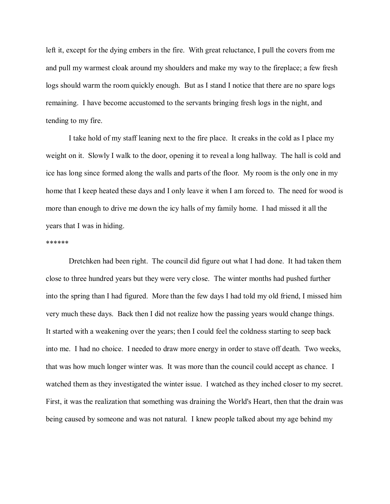left it, except for the dying embers in the fire. With great reluctance, I pull the covers from me and pull my warmest cloak around my shoulders and make my way to the fireplace; a few fresh logs should warm the room quickly enough. But as I stand I notice that there are no spare logs remaining. I have become accustomed to the servants bringing fresh logs in the night, and tending to my fire.

I take hold of my staff leaning next to the fire place. It creaks in the cold as I place my weight on it. Slowly I walk to the door, opening it to reveal a long hallway. The hall is cold and ice has long since formed along the walls and parts of the floor. My room is the only one in my home that I keep heated these days and I only leave it when I am forced to. The need for wood is more than enough to drive me down the icy halls of my family home. I had missed it all the years that I was in hiding.

### \*\*\*\*\*\*

Dretchken had been right. The council did figure out what I had done. It had taken them close to three hundred years but they were very close. The winter months had pushed further into the spring than I had figured. More than the few days I had told my old friend, I missed him very much these days. Back then I did not realize how the passing years would change things. It started with a weakening over the years; then I could feel the coldness starting to seep back into me. I had no choice. I needed to draw more energy in order to stave off death. Two weeks, that was how much longer winter was. It was more than the council could accept as chance. I watched them as they investigated the winter issue. I watched as they inched closer to my secret. First, it was the realization that something was draining the World's Heart, then that the drain was being caused by someone and was not natural. I knew people talked about my age behind my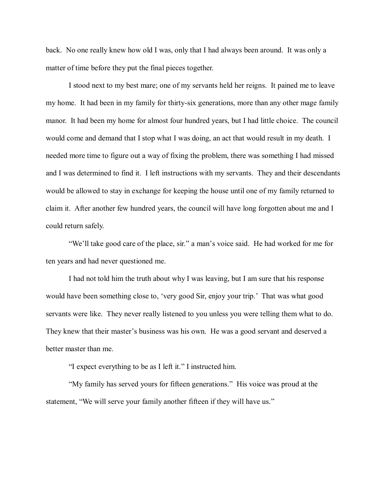back. No one really knew how old I was, only that I had always been around. It was only a matter of time before they put the final pieces together.

I stood next to my best mare; one of my servants held her reigns. It pained me to leave my home. It had been in my family for thirty-six generations, more than any other mage family manor. It had been my home for almost four hundred years, but I had little choice. The council would come and demand that I stop what I was doing, an act that would result in my death. I needed more time to figure out a way of fixing the problem, there was something I had missed and I was determined to find it. I left instructions with my servants. They and their descendants would be allowed to stay in exchange for keeping the house until one of my family returned to claim it. After another few hundred years, the council will have long forgotten about me and I could return safely.

"We'll take good care of the place, sir." a man's voice said. He had worked for me for ten years and had never questioned me.

I had not told him the truth about why I was leaving, but I am sure that his response would have been something close to, 'very good Sir, enjoy your trip.' That was what good servants were like. They never really listened to you unless you were telling them what to do. They knew that their master's business was his own. He was a good servant and deserved a better master than me.

"I expect everything to be as I left it." I instructed him.

"My family has served yours for fifteen generations." His voice was proud at the statement, "We will serve your family another fifteen if they will have us."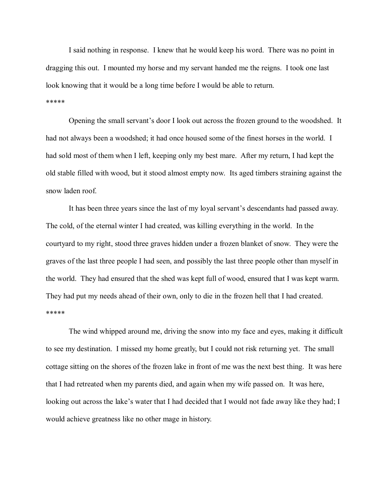I said nothing in response. I knew that he would keep his word. There was no point in dragging this out. I mounted my horse and my servant handed me the reigns. I took one last look knowing that it would be a long time before I would be able to return. \*\*\*\*\*

Opening the small servant's door I look out across the frozen ground to the woodshed. It had not always been a woodshed; it had once housed some of the finest horses in the world. I had sold most of them when I left, keeping only my best mare. After my return, I had kept the old stable filled with wood, but it stood almost empty now. Its aged timbers straining against the snow laden roof.

It has been three years since the last of my loyal servant's descendants had passed away. The cold, of the eternal winter I had created, was killing everything in the world. In the courtyard to my right, stood three graves hidden under a frozen blanket of snow. They were the graves of the last three people I had seen, and possibly the last three people other than myself in the world. They had ensured that the shed was kept full of wood, ensured that I was kept warm. They had put my needs ahead of their own, only to die in the frozen hell that I had created. \*\*\*\*\*

The wind whipped around me, driving the snow into my face and eyes, making it difficult to see my destination. I missed my home greatly, but I could not risk returning yet. The small cottage sitting on the shores of the frozen lake in front of me was the next best thing. It was here that I had retreated when my parents died, and again when my wife passed on. It was here, looking out across the lake's water that I had decided that I would not fade away like they had; I would achieve greatness like no other mage in history.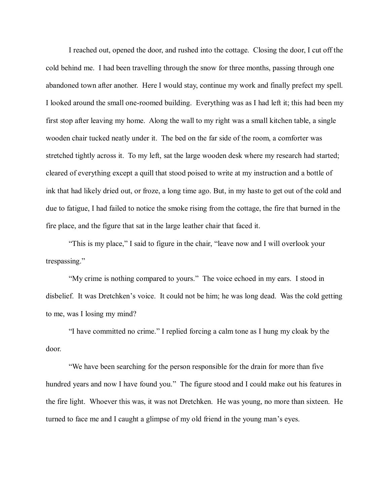I reached out, opened the door, and rushed into the cottage. Closing the door, I cut off the cold behind me. I had been travelling through the snow for three months, passing through one abandoned town after another. Here I would stay, continue my work and finally prefect my spell. I looked around the small one-roomed building. Everything was as I had left it; this had been my first stop after leaving my home. Along the wall to my right was a small kitchen table, a single wooden chair tucked neatly under it. The bed on the far side of the room, a comforter was stretched tightly across it. To my left, sat the large wooden desk where my research had started; cleared of everything except a quill that stood poised to write at my instruction and a bottle of ink that had likely dried out, or froze, a long time ago. But, in my haste to get out of the cold and due to fatigue, I had failed to notice the smoke rising from the cottage, the fire that burned in the fire place, and the figure that sat in the large leather chair that faced it.

"This is my place," I said to figure in the chair, "leave now and I will overlook your trespassing."

"My crime is nothing compared to yours." The voice echoed in my ears. I stood in disbelief. It was Dretchken's voice. It could not be him; he was long dead. Was the cold getting to me, was I losing my mind?

"I have committed no crime." I replied forcing a calm tone as I hung my cloak by the door.

"We have been searching for the person responsible for the drain for more than five hundred years and now I have found you." The figure stood and I could make out his features in the fire light. Whoever this was, it was not Dretchken. He was young, no more than sixteen. He turned to face me and I caught a glimpse of my old friend in the young man's eyes.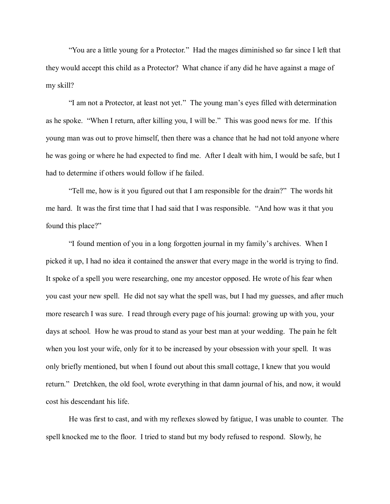"You are a little young for a Protector." Had the mages diminished so far since I left that they would accept this child as a Protector? What chance if any did he have against a mage of my skill?

"I am not a Protector, at least not yet." The young man's eyes filled with determination as he spoke. "When I return, after killing you, I will be." This was good news for me. If this young man was out to prove himself, then there was a chance that he had not told anyone where he was going or where he had expected to find me. After I dealt with him, I would be safe, but I had to determine if others would follow if he failed.

"Tell me, how is it you figured out that I am responsible for the drain?" The words hit me hard. It was the first time that I had said that I was responsible. "And how was it that you found this place?"

"I found mention of you in a long forgotten journal in my family's archives. When I picked it up, I had no idea it contained the answer that every mage in the world is trying to find. It spoke of a spell you were researching, one my ancestor opposed. He wrote of his fear when you cast your new spell. He did not say what the spell was, but I had my guesses, and after much more research I was sure. I read through every page of his journal: growing up with you, your days at school. How he was proud to stand as your best man at your wedding. The pain he felt when you lost your wife, only for it to be increased by your obsession with your spell. It was only briefly mentioned, but when I found out about this small cottage, I knew that you would return." Dretchken, the old fool, wrote everything in that damn journal of his, and now, it would cost his descendant his life.

He was first to cast, and with my reflexes slowed by fatigue, I was unable to counter. The spell knocked me to the floor. I tried to stand but my body refused to respond. Slowly, he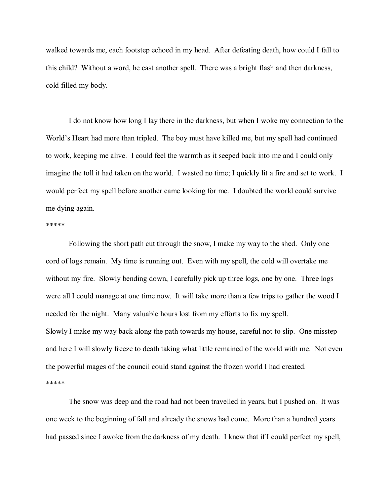walked towards me, each footstep echoed in my head. After defeating death, how could I fall to this child? Without a word, he cast another spell. There was a bright flash and then darkness, cold filled my body.

I do not know how long I lay there in the darkness, but when I woke my connection to the World's Heart had more than tripled. The boy must have killed me, but my spell had continued to work, keeping me alive. I could feel the warmth as it seeped back into me and I could only imagine the toll it had taken on the world. I wasted no time; I quickly lit a fire and set to work. I would perfect my spell before another came looking for me. I doubted the world could survive me dying again.

#### \*\*\*\*\*

Following the short path cut through the snow, I make my way to the shed. Only one cord of logs remain. My time is running out. Even with my spell, the cold will overtake me without my fire. Slowly bending down, I carefully pick up three logs, one by one. Three logs were all I could manage at one time now. It will take more than a few trips to gather the wood I needed for the night. Many valuable hours lost from my efforts to fix my spell. Slowly I make my way back along the path towards my house, careful not to slip. One misstep and here I will slowly freeze to death taking what little remained of the world with me. Not even the powerful mages of the council could stand against the frozen world I had created. \*\*\*\*\*

The snow was deep and the road had not been travelled in years, but I pushed on. It was one week to the beginning of fall and already the snows had come. More than a hundred years had passed since I awoke from the darkness of my death. I knew that if I could perfect my spell,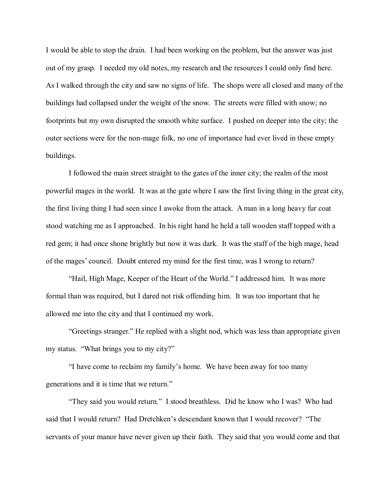I would be able to stop the drain. I had been working on the problem, but the answer was just out of my grasp. I needed my old notes, my research and the resources I could only find here. As I walked through the city and saw no signs of life. The shops were all closed and many of the buildings had collapsed under the weight of the snow. The streets were filled with snow; no footprints but my own disrupted the smooth white surface. I pushed on deeper into the city; the outer sections were for the non-mage folk, no one of importance had ever lived in these empty buildings.

I followed the main street straight to the gates of the inner city; the realm of the most powerful mages in the world. It was at the gate where I saw the first living thing in the great city, the first living thing I had seen since I awoke from the attack. A man in a long heavy fur coat stood watching me as I approached. In his right hand he held a tall wooden staff topped with a red gem; it had once shone brightly but now it was dark. It was the staff of the high mage, head of the mages' council. Doubt entered my mind for the first time, was I wrong to return?

"Hail, High Mage, Keeper of the Heart of the World." I addressed him. It was more formal than was required, but I dared not risk offending him. It was too important that he allowed me into the city and that I continued my work.

"Greetings stranger." He replied with a slight nod, which was less than appropriate given my status. "What brings you to my city?"

"I have come to reclaim my family's home. We have been away for too many generations and it is time that we return."

"They said you would return." I stood breathless. Did he know who I was? Who had said that I would return? Had Dretchken's descendant known that I would recover? "The servants of your manor have never given up their faith. They said that you would come and that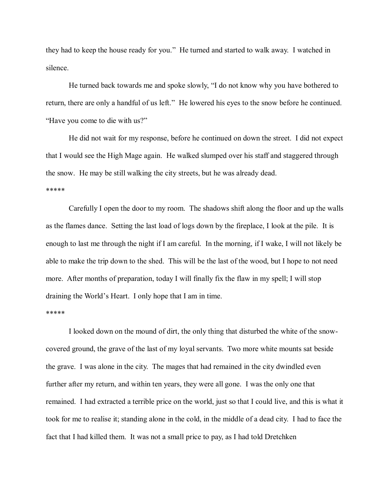they had to keep the house ready for you." He turned and started to walk away. I watched in silence.

He turned back towards me and spoke slowly, "I do not know why you have bothered to return, there are only a handful of us left." He lowered his eyes to the snow before he continued. "Have you come to die with us?"

He did not wait for my response, before he continued on down the street. I did not expect that I would see the High Mage again. He walked slumped over his staff and staggered through the snow. He may be still walking the city streets, but he was already dead. \*\*\*\*\*

Carefully I open the door to my room. The shadows shift along the floor and up the walls as the flames dance. Setting the last load of logs down by the fireplace, I look at the pile. It is enough to last me through the night if I am careful. In the morning, if I wake, I will not likely be able to make the trip down to the shed. This will be the last of the wood, but I hope to not need more. After months of preparation, today I will finally fix the flaw in my spell; I will stop draining the World's Heart. I only hope that I am in time.

### \*\*\*\*\*

I looked down on the mound of dirt, the only thing that disturbed the white of the snowcovered ground, the grave of the last of my loyal servants. Two more white mounts sat beside the grave. I was alone in the city. The mages that had remained in the city dwindled even further after my return, and within ten years, they were all gone. I was the only one that remained. I had extracted a terrible price on the world, just so that I could live, and this is what it took for me to realise it; standing alone in the cold, in the middle of a dead city. I had to face the fact that I had killed them. It was not a small price to pay, as I had told Dretchken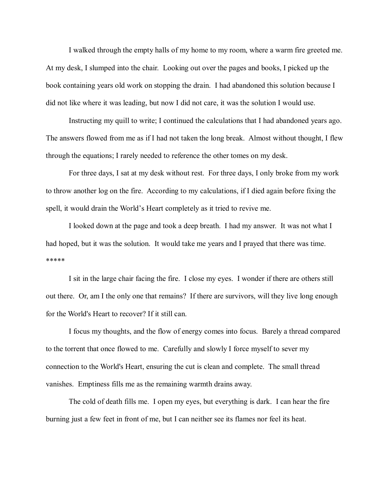I walked through the empty halls of my home to my room, where a warm fire greeted me. At my desk, I slumped into the chair. Looking out over the pages and books, I picked up the book containing years old work on stopping the drain. I had abandoned this solution because I did not like where it was leading, but now I did not care, it was the solution I would use.

Instructing my quill to write; I continued the calculations that I had abandoned years ago. The answers flowed from me as if I had not taken the long break. Almost without thought, I flew through the equations; I rarely needed to reference the other tomes on my desk.

For three days, I sat at my desk without rest. For three days, I only broke from my work to throw another log on the fire. According to my calculations, if I died again before fixing the spell, it would drain the World's Heart completely as it tried to revive me.

I looked down at the page and took a deep breath. I had my answer. It was not what I had hoped, but it was the solution. It would take me years and I prayed that there was time. \*\*\*\*\*

I sit in the large chair facing the fire. I close my eyes. I wonder if there are others still out there. Or, am I the only one that remains? If there are survivors, will they live long enough for the World's Heart to recover? If it still can.

I focus my thoughts, and the flow of energy comes into focus. Barely a thread compared to the torrent that once flowed to me. Carefully and slowly I force myself to sever my connection to the World's Heart, ensuring the cut is clean and complete. The small thread vanishes. Emptiness fills me as the remaining warmth drains away.

The cold of death fills me. I open my eyes, but everything is dark. I can hear the fire burning just a few feet in front of me, but I can neither see its flames nor feel its heat.